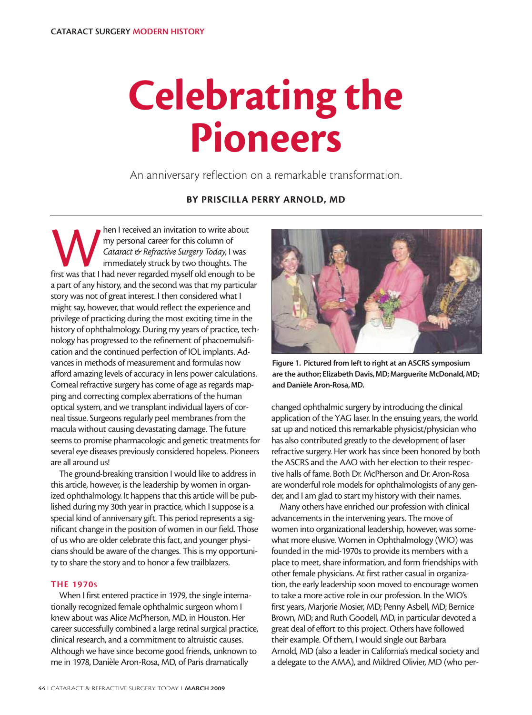# **Celebrating the Pioneers**

An anniversary reflection on a remarkable transformation.

# **BY PRISCILLA PERRY ARNOLD, MD**

Man I received an invitation to write about<br>
my personal career for this column of<br>
Cataract & Refractive Surgery Today, I was<br>
immediately struck by two thoughts. The<br>
first was that I had never regarded myself old enough my personal career for this column of *Cataract & Refractive Surgery Today*, I was immediately struck by two thoughts. The a part of any history, and the second was that my particular story was not of great interest. I then considered what I might say, however, that would reflect the experience and privilege of practicing during the most exciting time in the history of ophthalmology. During my years of practice, technology has progressed to the refinement of phacoemulsification and the continued perfection of IOL implants. Advances in methods of measurement and formulas now afford amazing levels of accuracy in lens power calculations. Corneal refractive surgery has come of age as regards mapping and correcting complex aberrations of the human optical system, and we transplant individual layers of corneal tissue. Surgeons regularly peel membranes from the macula without causing devastating damage. The future seems to promise pharmacologic and genetic treatments for several eye diseases previously considered hopeless. Pioneers are all around us!

The ground-breaking transition I would like to address in this article, however, is the leadership by women in organized ophthalmology. It happens that this article will be published during my 30th year in practice, which I suppose is a special kind of anniversary gift. This period represents a significant change in the position of women in our field. Those of us who are older celebrate this fact, and younger physicians should be aware of the changes. This is my opportunity to share the story and to honor a few trailblazers.

### **THE 1970S**

When I first entered practice in 1979, the single internationally recognized female ophthalmic surgeon whom I knew about was Alice McPherson, MD, in Houston. Her career successfully combined a large retinal surgical practice, clinical research, and a commitment to altruistic causes. Although we have since become good friends, unknown to me in 1978, Danièle Aron-Rosa, MD, of Paris dramatically



**Figure 1. Pictured from left to right at an ASCRS symposium are the author; Elizabeth Davis, MD; Marguerite McDonald, MD; and Danièle Aron-Rosa, MD.**

changed ophthalmic surgery by introducing the clinical application of the YAG laser. In the ensuing years, the world sat up and noticed this remarkable physicist/physician who has also contributed greatly to the development of laser refractive surgery. Her work has since been honored by both the ASCRS and the AAO with her election to their respective halls of fame. Both Dr. McPherson and Dr. Aron-Rosa are wonderful role models for ophthalmologists of any gender, and I am glad to start my history with their names.

Many others have enriched our profession with clinical advancements in the intervening years. The move of women into organizational leadership, however, was somewhat more elusive. Women in Ophthalmology (WIO) was founded in the mid-1970s to provide its members with a place to meet, share information, and form friendships with other female physicians. At first rather casual in organization, the early leadership soon moved to encourage women to take a more active role in our profession. In the WIO's first years, Marjorie Mosier, MD; Penny Asbell, MD; Bernice Brown, MD; and Ruth Goodell, MD, in particular devoted a great deal of effort to this project. Others have followed their example. Of them, I would single out Barbara Arnold, MD (also a leader in California's medical society and a delegate to the AMA), and Mildred Olivier, MD (who per